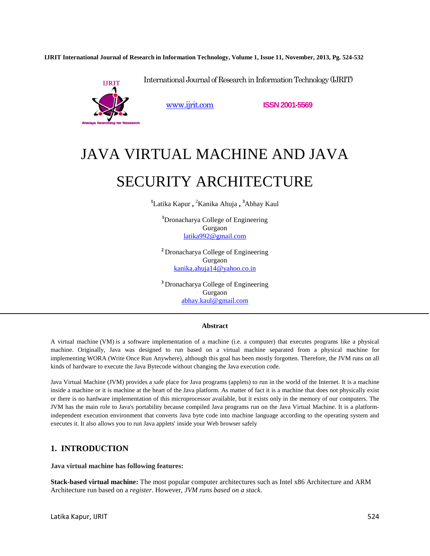**IJRIT International Journal of Research in Information Technology, Volume 1, Issue 11, November, 2013, Pg. 524-532**



www.ijrit.com **ISSN 2001-5569**

International Journal of Research in Information Technology (IJRIT)

# JAVA VIRTUAL MACHINE AND JAVA

# SECURITY ARCHITECTURE

**<sup>1</sup>**Latika Kapur **,** <sup>2</sup>Kanika Ahuja **, <sup>3</sup>**Abhay Kaul

**<sup>1</sup>**Dronacharya College of Engineering Gurgaon latika992@gmail.com

**<sup>2</sup>**Dronacharya College of Engineering Gurgaon kanika.ahuja14@yahoo.co.in

**<sup>3</sup>**Dronacharya College of Engineering Gurgaon abhay.kaul@gmail.com

#### **Abstract**

A virtual machine (VM) is a software implementation of a machine (i.e. a computer) that executes programs like a physical machine. Originally, Java was designed to run based on a virtual machine separated from a physical machine for implementing WORA (Write Once Run Anywhere), although this goal has been mostly forgotten. Therefore, the JVM runs on all kinds of hardware to execute the Java Bytecode without changing the Java execution code.

Java Virtual Machine (JVM) provides a safe place for Java programs (applets) to run in the world of the Internet. It is a machine inside a machine or it is machine at the heart of the Java platform. As matter of fact it is a machine that does not physically exist or there is no hardware implementation of this microprocessor available, but it exists only in the memory of our computers. The JVM has the main role to Java's portability because compiled Java programs run on the Java Virtual Machine. It is a platformindependent execution environment that converts Java byte code into machine language according to the operating system and executes it. It also allows you to run Java applets' inside your Web browser safely

## **1. INTRODUCTION**

**Java virtual machine has following features:** 

**Stack-based virtual machine:** The most popular computer architectures such as Intel x86 Architecture and ARM Architecture run based on a *register*. However, *JVM runs based on a stack*.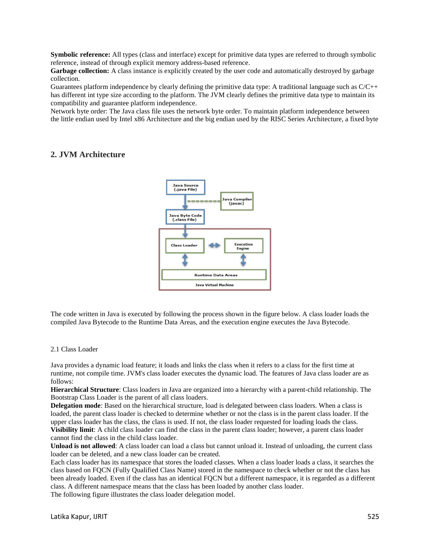**Symbolic reference:** All types (class and interface) except for primitive data types are referred to through symbolic reference, instead of through explicit memory address-based reference.

**Garbage collection:** A class instance is explicitly created by the user code and automatically destroyed by garbage collection.

Guarantees platform independence by clearly defining the primitive data type: A traditional language such as  $C/C++$ has different int type size according to the platform. The JVM clearly defines the primitive data type to maintain its compatibility and guarantee platform independence.

Network byte order: The Java class file uses the network byte order. To maintain platform independence between the little endian used by Intel x86 Architecture and the big endian used by the RISC Series Architecture, a fixed byte

# **2. JVM Architecture**



The code written in Java is executed by following the process shown in the figure below. A class loader loads the compiled Java Bytecode to the Runtime Data Areas, and the execution engine executes the Java Bytecode.

#### 2.1 Class Loader

Java provides a dynamic load feature; it loads and links the class when it refers to a class for the first time at runtime, not compile time. JVM's class loader executes the dynamic load. The features of Java class loader are as follows:

**Hierarchical Structure**: Class loaders in Java are organized into a hierarchy with a parent-child relationship. The Bootstrap Class Loader is the parent of all class loaders.

**Delegation mode**: Based on the hierarchical structure, load is delegated between class loaders. When a class is loaded, the parent class loader is checked to determine whether or not the class is in the parent class loader. If the upper class loader has the class, the class is used. If not, the class loader requested for loading loads the class. **Visibility limit**: A child class loader can find the class in the parent class loader; however, a parent class loader cannot find the class in the child class loader.

**Unload is not allowed**: A class loader can load a class but cannot unload it. Instead of unloading, the current class loader can be deleted, and a new class loader can be created.

Each class loader has its namespace that stores the loaded classes. When a class loader loads a class, it searches the class based on FQCN (Fully Qualified Class Name) stored in the namespace to check whether or not the class has been already loaded. Even if the class has an identical FQCN but a different namespace, it is regarded as a different class. A different namespace means that the class has been loaded by another class loader.

The following figure illustrates the class loader delegation model.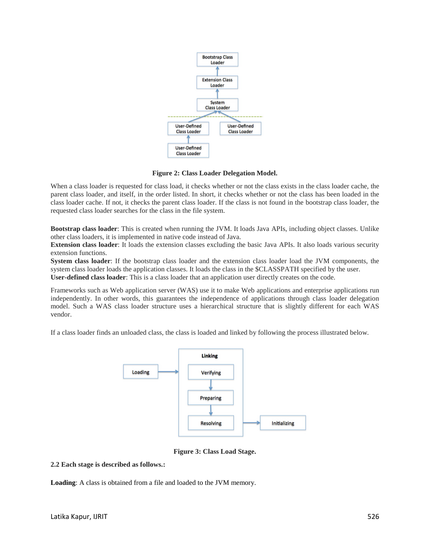

**Figure 2: Class Loader Delegation Model.**

When a class loader is requested for class load, it checks whether or not the class exists in the class loader cache, the parent class loader, and itself, in the order listed. In short, it checks whether or not the class has been loaded in the class loader cache. If not, it checks the parent class loader. If the class is not found in the bootstrap class loader, the requested class loader searches for the class in the file system.

**Bootstrap class loader**: This is created when running the JVM. It loads Java APIs, including object classes. Unlike other class loaders, it is implemented in native code instead of Java.

**Extension class loader**: It loads the extension classes excluding the basic Java APIs. It also loads various security extension functions.

**System class loader**: If the bootstrap class loader and the extension class loader load the JVM components, the system class loader loads the application classes. It loads the class in the \$CLASSPATH specified by the user. **User-defined class loader**: This is a class loader that an application user directly creates on the code.

Frameworks such as Web application server (WAS) use it to make Web applications and enterprise applications run independently. In other words, this guarantees the independence of applications through class loader delegation model. Such a WAS class loader structure uses a hierarchical structure that is slightly different for each WAS vendor.

If a class loader finds an unloaded class, the class is loaded and linked by following the process illustrated below.



**Figure 3: Class Load Stage.**

#### **2.2 Each stage is described as follows.:**

**Loading**: A class is obtained from a file and loaded to the JVM memory.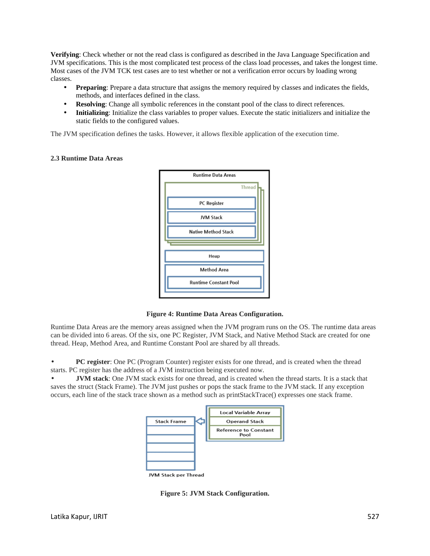**Verifying**: Check whether or not the read class is configured as described in the Java Language Specification and JVM specifications. This is the most complicated test process of the class load processes, and takes the longest time. Most cases of the JVM TCK test cases are to test whether or not a verification error occurs by loading wrong classes.

- **Preparing**: Prepare a data structure that assigns the memory required by classes and indicates the fields, methods, and interfaces defined in the class.
- **Resolving**: Change all symbolic references in the constant pool of the class to direct references.
- **Initializing**: Initialize the class variables to proper values. Execute the static initializers and initialize the static fields to the configured values.

The JVM specification defines the tasks. However, it allows flexible application of the execution time.

#### **2.3 Runtime Data Areas**



**Figure 4: Runtime Data Areas Configuration.**

Runtime Data Areas are the memory areas assigned when the JVM program runs on the OS. The runtime data areas can be divided into 6 areas. Of the six, one PC Register, JVM Stack, and Native Method Stack are created for one thread. Heap, Method Area, and Runtime Constant Pool are shared by all threads.

• **PC register**: One PC (Program Counter) register exists for one thread, and is created when the thread starts. PC register has the address of a JVM instruction being executed now.

• **JVM stack**: One JVM stack exists for one thread, and is created when the thread starts. It is a stack that saves the struct (Stack Frame). The JVM just pushes or pops the stack frame to the JVM stack. If any exception occurs, each line of the stack trace shown as a method such as printStackTrace() expresses one stack frame.



**Figure 5: JVM Stack Configuration.**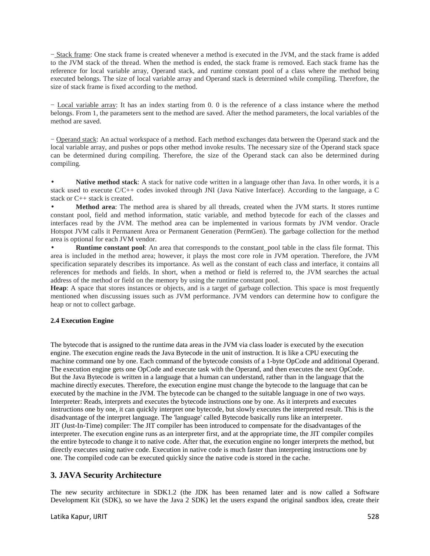− Stack frame: One stack frame is created whenever a method is executed in the JVM, and the stack frame is added to the JVM stack of the thread. When the method is ended, the stack frame is removed. Each stack frame has the reference for local variable array, Operand stack, and runtime constant pool of a class where the method being executed belongs. The size of local variable array and Operand stack is determined while compiling. Therefore, the size of stack frame is fixed according to the method.

− Local variable array: It has an index starting from 0. 0 is the reference of a class instance where the method belongs. From 1, the parameters sent to the method are saved. After the method parameters, the local variables of the method are saved.

− Operand stack: An actual workspace of a method. Each method exchanges data between the Operand stack and the local variable array, and pushes or pops other method invoke results. The necessary size of the Operand stack space can be determined during compiling. Therefore, the size of the Operand stack can also be determined during compiling.

• **Native method stack**: A stack for native code written in a language other than Java. In other words, it is a stack used to execute C/C++ codes invoked through JNI (Java Native Interface). According to the language, a C stack or C++ stack is created.

• **Method area**: The method area is shared by all threads, created when the JVM starts. It stores runtime constant pool, field and method information, static variable, and method bytecode for each of the classes and interfaces read by the JVM. The method area can be implemented in various formats by JVM vendor. Oracle Hotspot JVM calls it Permanent Area or Permanent Generation (PermGen). The garbage collection for the method area is optional for each JVM vendor.

**Runtime constant pool:** An area that corresponds to the constant pool table in the class file format. This area is included in the method area; however, it plays the most core role in JVM operation. Therefore, the JVM specification separately describes its importance. As well as the constant of each class and interface, it contains all references for methods and fields. In short, when a method or field is referred to, the JVM searches the actual address of the method or field on the memory by using the runtime constant pool.

**Heap**: A space that stores instances or objects, and is a target of garbage collection. This space is most frequently mentioned when discussing issues such as JVM performance. JVM vendors can determine how to configure the heap or not to collect garbage.

#### **2.4 Execution Engine**

The bytecode that is assigned to the runtime data areas in the JVM via class loader is executed by the execution engine. The execution engine reads the Java Bytecode in the unit of instruction. It is like a CPU executing the machine command one by one. Each command of the bytecode consists of a 1-byte OpCode and additional Operand. The execution engine gets one OpCode and execute task with the Operand, and then executes the next OpCode. But the Java Bytecode is written in a language that a human can understand, rather than in the language that the machine directly executes. Therefore, the execution engine must change the bytecode to the language that can be executed by the machine in the JVM. The bytecode can be changed to the suitable language in one of two ways. Interpreter: Reads, interprets and executes the bytecode instructions one by one. As it interprets and executes instructions one by one, it can quickly interpret one bytecode, but slowly executes the interpreted result. This is the disadvantage of the interpret language. The 'language' called Bytecode basically runs like an interpreter. JIT (Just-In-Time) compiler: The JIT compiler has been introduced to compensate for the disadvantages of the interpreter. The execution engine runs as an interpreter first, and at the appropriate time, the JIT compiler compiles the entire bytecode to change it to native code. After that, the execution engine no longer interprets the method, but directly executes using native code. Execution in native code is much faster than interpreting instructions one by one. The compiled code can be executed quickly since the native code is stored in the cache.

# **3. JAVA Security Architecture**

The new security architecture in SDK1.2 (the JDK has been renamed later and is now called a Software Development Kit (SDK), so we have the Java 2 SDK) let the users expand the original sandbox idea, create their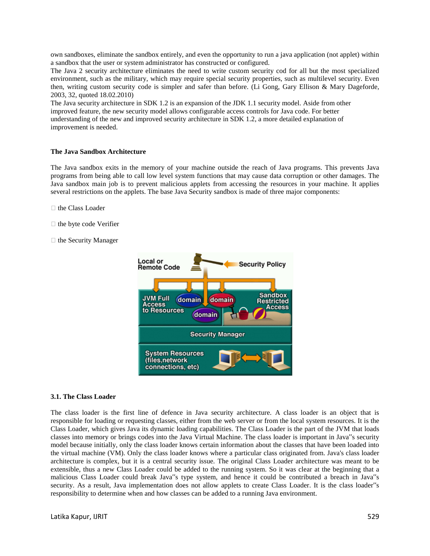own sandboxes, eliminate the sandbox entirely, and even the opportunity to run a java application (not applet) within a sandbox that the user or system administrator has constructed or configured.

The Java 2 security architecture eliminates the need to write custom security cod for all but the most specialized environment, such as the military, which may require special security properties, such as multilevel security. Even then, writing custom security code is simpler and safer than before. (Li Gong, Gary Ellison & Mary Dageforde, 2003, 32, quoted 18.02.2010)

The Java security architecture in SDK 1.2 is an expansion of the JDK 1.1 security model. Aside from other improved feature, the new security model allows configurable access controls for Java code. For better understanding of the new and improved security architecture in SDK 1.2, a more detailed explanation of improvement is needed.

#### **The Java Sandbox Architecture**

The Java sandbox exits in the memory of your machine outside the reach of Java programs. This prevents Java programs from being able to call low level system functions that may cause data corruption or other damages. The Java sandbox main job is to prevent malicious applets from accessing the resources in your machine. It applies several restrictions on the applets. The base Java Security sandbox is made of three major components:

- $\Box$  the Class Loader
- $\Box$  the byte code Verifier
- $\Box$  the Security Manager



#### **3.1. The Class Loader**

The class loader is the first line of defence in Java security architecture. A class loader is an object that is responsible for loading or requesting classes, either from the web server or from the local system resources. It is the Class Loader, which gives Java its dynamic loading capabilities. The Class Loader is the part of the JVM that loads classes into memory or brings codes into the Java Virtual Machine. The class loader is important in Java"s security model because initially, only the class loader knows certain information about the classes that have been loaded into the virtual machine (VM). Only the class loader knows where a particular class originated from. Java's class loader architecture is complex, but it is a central security issue. The original Class Loader architecture was meant to be extensible, thus a new Class Loader could be added to the running system. So it was clear at the beginning that a malicious Class Loader could break Java"s type system, and hence it could be contributed a breach in Java"s security. As a result, Java implementation does not allow applets to create Class Loader. It is the class loader"s responsibility to determine when and how classes can be added to a running Java environment.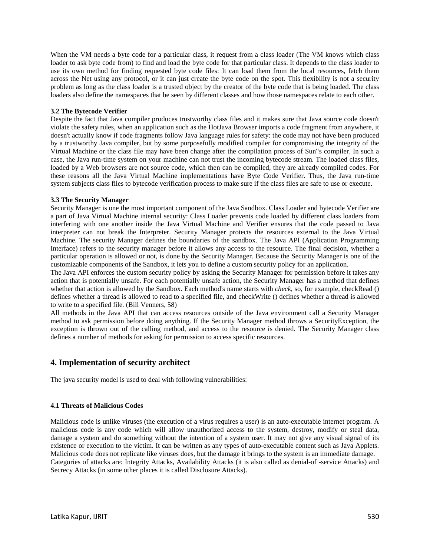When the VM needs a byte code for a particular class, it request from a class loader (The VM knows which class loader to ask byte code from) to find and load the byte code for that particular class. It depends to the class loader to use its own method for finding requested byte code files: It can load them from the local resources, fetch them across the Net using any protocol, or it can just create the byte code on the spot. This flexibility is not a security problem as long as the class loader is a trusted object by the creator of the byte code that is being loaded. The class loaders also define the namespaces that be seen by different classes and how those namespaces relate to each other.

#### **3.2 The Bytecode Verifier**

Despite the fact that Java compiler produces trustworthy class files and it makes sure that Java source code doesn't violate the safety rules, when an application such as the HotJava Browser imports a code fragment from anywhere, it doesn't actually know if code fragments follow Java language rules for safety: the code may not have been produced by a trustworthy Java compiler, but by some purposefully modified compiler for compromising the integrity of the Virtual Machine or the class file may have been change after the compilation process of Sun"s compiler. In such a case, the Java run-time system on your machine can not trust the incoming bytecode stream. The loaded class files, loaded by a Web browsers are not source code, which then can be compiled, they are already compiled codes. For these reasons all the Java Virtual Machine implementations have Byte Code Verifier. Thus, the Java run-time system subjects class files to bytecode verification process to make sure if the class files are safe to use or execute.

#### **3.3 The Security Manager**

Security Manager is one the most important component of the Java Sandbox. Class Loader and bytecode Verifier are a part of Java Virtual Machine internal security: Class Loader prevents code loaded by different class loaders from interfering with one another inside the Java Virtual Machine and Verifier ensures that the code passed to Java interpreter can not break the Interpreter. Security Manager protects the resources external to the Java Virtual Machine. The security Manager defines the boundaries of the sandbox. The Java API (Application Programming Interface) refers to the security manager before it allows any access to the resource. The final decision, whether a particular operation is allowed or not, is done by the Security Manager. Because the Security Manager is one of the customizable components of the Sandbox, it lets you to define a custom security policy for an application.

The Java API enforces the custom security policy by asking the Security Manager for permission before it takes any action that is potentially unsafe. For each potentially unsafe action, the Security Manager has a method that defines whether that action is allowed by the Sandbox. Each method's name starts with *check*, so, for example, checkRead () defines whether a thread is allowed to read to a specified file, and checkWrite () defines whether a thread is allowed to write to a specified file. (Bill Venners, 58)

All methods in the Java API that can access resources outside of the Java environment call a Security Manager method to ask permission before doing anything. If the Security Manager method throws a SecurityException, the exception is thrown out of the calling method, and access to the resource is denied. The Security Manager class defines a number of methods for asking for permission to access specific resources.

## **4. Implementation of security architect**

The java security model is used to deal with following vulnerabilities:

#### **4.1 Threats of Malicious Codes**

Malicious code is unlike viruses (the execution of a virus requires a user) is an auto-executable internet program. A malicious code is any code which will allow unauthorized access to the system, destroy, modify or steal data, damage a system and do something without the intention of a system user. It may not give any visual signal of its existence or execution to the victim. It can be written as any types of auto-executable content such as Java Applets. Malicious code does not replicate like viruses does, but the damage it brings to the system is an immediate damage. Categories of attacks are: Integrity Attacks, Availability Attacks (it is also called as denial-of -service Attacks) and Secrecy Attacks (in some other places it is called Disclosure Attacks).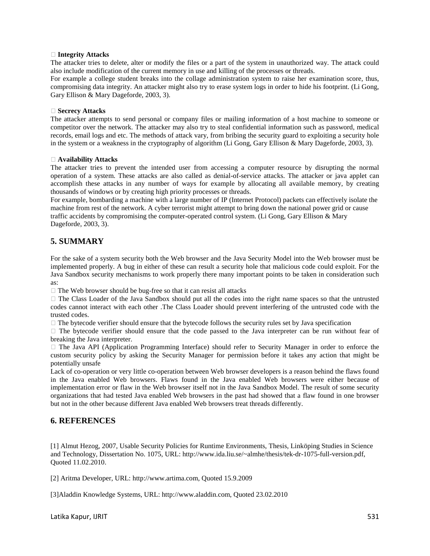#### **Integrity Attacks**

The attacker tries to delete, alter or modify the files or a part of the system in unauthorized way. The attack could also include modification of the current memory in use and killing of the processes or threads.

For example a college student breaks into the collage administration system to raise her examination score, thus, compromising data integrity. An attacker might also try to erase system logs in order to hide his footprint. (Li Gong, Gary Ellison & Mary Dageforde, 2003, 3).

#### **Secrecy Attacks**

The attacker attempts to send personal or company files or mailing information of a host machine to someone or competitor over the network. The attacker may also try to steal confidential information such as password, medical records, email logs and etc. The methods of attack vary, from bribing the security guard to exploiting a security hole in the system or a weakness in the cryptography of algorithm (Li Gong, Gary Ellison & Mary Dageforde, 2003, 3).

#### **Availability Attacks**

The attacker tries to prevent the intended user from accessing a computer resource by disrupting the normal operation of a system. These attacks are also called as denial-of-service attacks. The attacker or java applet can accomplish these attacks in any number of ways for example by allocating all available memory, by creating thousands of windows or by creating high priority processes or threads.

For example, bombarding a machine with a large number of IP (Internet Protocol) packets can effectively isolate the machine from rest of the network. A cyber terrorist might attempt to bring down the national power grid or cause traffic accidents by compromising the computer-operated control system. (Li Gong, Gary Ellison & Mary Dageforde, 2003, 3).

# **5. SUMMARY**

For the sake of a system security both the Web browser and the Java Security Model into the Web browser must be implemented properly. A bug in either of these can result a security hole that malicious code could exploit. For the Java Sandbox security mechanisms to work properly there many important points to be taken in consideration such as:

 $\Box$  The Web browser should be bug-free so that it can resist all attacks

 The Class Loader of the Java Sandbox should put all the codes into the right name spaces so that the untrusted codes cannot interact with each other .The Class Loader should prevent interfering of the untrusted code with the trusted codes.

 $\Box$  The bytecode verifier should ensure that the bytecode follows the security rules set by Java specification

 $\Box$  The bytecode verifier should ensure that the code passed to the Java interpreter can be run without fear of breaking the Java interpreter.

 The Java API (Application Programming Interface) should refer to Security Manager in order to enforce the custom security policy by asking the Security Manager for permission before it takes any action that might be potentially unsafe

Lack of co-operation or very little co-operation between Web browser developers is a reason behind the flaws found in the Java enabled Web browsers. Flaws found in the Java enabled Web browsers were either because of implementation error or flaw in the Web browser itself not in the Java Sandbox Model. The result of some security organizations that had tested Java enabled Web browsers in the past had showed that a flaw found in one browser but not in the other because different Java enabled Web browsers treat threads differently.

# **6. REFERENCES**

[1] Almut Hezog, 2007, Usable Security Policies for Runtime Environments, Thesis, Linköping Studies in Science and Technology, Dissertation No. 1075, URL: http://www.ida.liu.se/~almhe/thesis/tek-dr-1075-full-version.pdf, Quoted 11.02.2010.

[2] Aritma Developer, URL: http://www.artima.com, Quoted 15.9.2009

[3]Aladdin Knowledge Systems, URL: http://www.aladdin.com, Quoted 23.02.2010